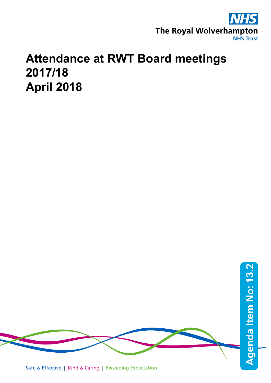

## **Attendance at RWT Board meetings 2017/18 April 2018**